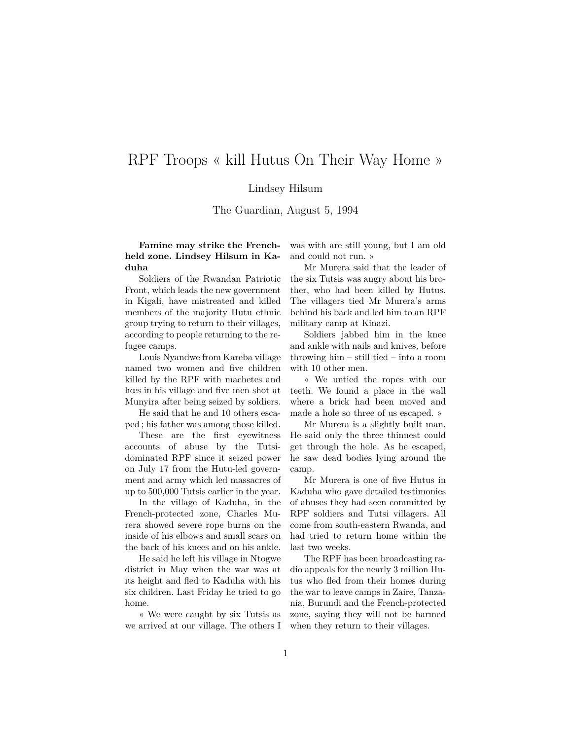## RPF Troops « kill Hutus On Their Way Home »

## Lindsey Hilsum

The Guardian, August 5, 1994

**Famine may strike the Frenchheld zone. Lindsey Hilsum in Kaduha**

Soldiers of the Rwandan Patriotic Front, which leads the new government in Kigali, have mistreated and killed members of the majority Hutu ethnic group trying to return to their villages, according to people returning to the refugee camps.

Louis Nyandwe from Kareba village named two women and five children killed by the RPF with machetes and hœs in his village and five men shot at Munyira after being seized by soldiers.

He said that he and 10 others escaped ; his father was among those killed.

These are the first eyewitness accounts of abuse by the Tutsidominated RPF since it seized power on July 17 from the Hutu-led government and army which led massacres of up to 500,000 Tutsis earlier in the year.

In the village of Kaduha, in the French-protected zone, Charles Murera showed severe rope burns on the inside of his elbows and small scars on the back of his knees and on his ankle.

He said he left his village in Ntogwe district in May when the war was at its height and fled to Kaduha with his six children. Last Friday he tried to go home.

« We were caught by six Tutsis as we arrived at our village. The others I was with are still young, but I am old and could not run. »

Mr Murera said that the leader of the six Tutsis was angry about his brother, who had been killed by Hutus. The villagers tied Mr Murera's arms behind his back and led him to an RPF military camp at Kinazi.

Soldiers jabbed him in the knee and ankle with nails and knives, before throwing him – still tied – into a room with 10 other men.

« We untied the ropes with our teeth. We found a place in the wall where a brick had been moved and made a hole so three of us escaped. »

Mr Murera is a slightly built man. He said only the three thinnest could get through the hole. As he escaped, he saw dead bodies lying around the camp.

Mr Murera is one of five Hutus in Kaduha who gave detailed testimonies of abuses they had seen committed by RPF soldiers and Tutsi villagers. All come from south-eastern Rwanda, and had tried to return home within the last two weeks.

The RPF has been broadcasting radio appeals for the nearly 3 million Hutus who fled from their homes during the war to leave camps in Zaire, Tanzania, Burundi and the French-protected zone, saying they will not be harmed when they return to their villages.